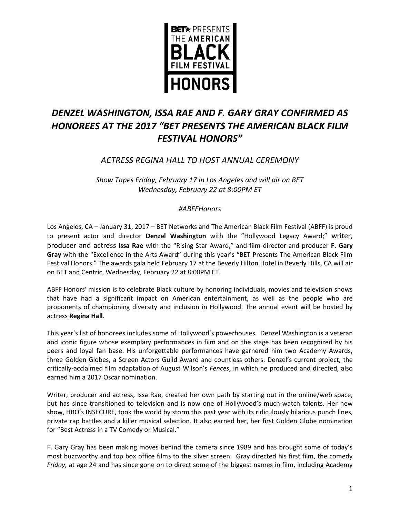

# *DENZEL WASHINGTON, ISSA RAE AND F. GARY GRAY CONFIRMED AS HONOREES AT THE 2017 "BET PRESENTS THE AMERICAN BLACK FILM FESTIVAL HONORS"*

# *ACTRESS REGINA HALL TO HOST ANNUAL CEREMONY*

*Show Tapes Friday, February 17 in Los Angeles and will air on BET Wednesday, February 22 at 8:00PM ET*

### *#ABFFHonors*

Los Angeles, CA – January 31, 2017 – BET Networks and The American Black Film Festival (ABFF) is proud to present actor and director **Denzel Washington** with the "Hollywood Legacy Award;" writer, producer and actress **Issa Rae** with the "Rising Star Award," and film director and producer **F. Gary Gray** with the "Excellence in the Arts Award" during this year's "BET Presents The American Black Film Festival Honors." The awards gala held February 17 at the Beverly Hilton Hotel in Beverly Hills, CA will air on BET and Centric, Wednesday, February 22 at 8:00PM ET.

ABFF Honors' mission is to celebrate Black culture by honoring individuals, movies and television shows that have had a significant impact on American entertainment, as well as the people who are proponents of championing diversity and inclusion in Hollywood. The annual event will be hosted by actress **Regina Hall**.

This year's list of honorees includes some of Hollywood's powerhouses. Denzel Washington is a veteran and iconic figure whose exemplary performances in film and on the stage has been recognized by his peers and loyal fan base. His unforgettable performances have garnered him two Academy Awards, three Golden Globes, a Screen Actors Guild Award and countless others. Denzel's current project, the critically-acclaimed film adaptation of August Wilson's *Fences*, in which he produced and directed, also earned him a 2017 Oscar nomination.

Writer, producer and actress, Issa Rae, created her own path by starting out in the online/web space, but has since transitioned to television and is now one of Hollywood's much-watch talents. Her new show, HBO's INSECURE, took the world by storm this past year with its ridiculously hilarious punch lines, private rap battles and a killer musical selection. It also earned her, her first Golden Globe nomination for "Best Actress in a TV Comedy or Musical."

F. Gary Gray has been making moves behind the camera since 1989 and has brought some of today's most buzzworthy and top box office films to the silver screen. Gray directed his first film, the comedy *Friday*, at age 24 and has since gone on to direct some of the biggest names in film, including Academy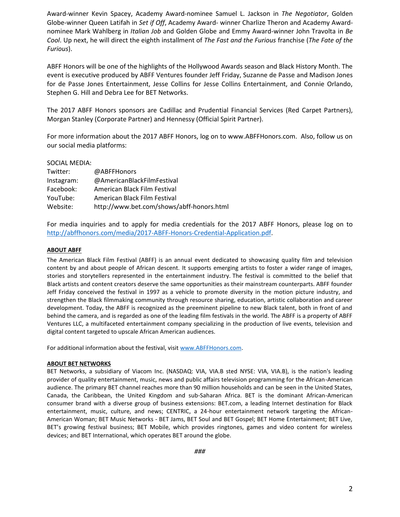Award-winner Kevin Spacey, Academy Award-nominee Samuel L. Jackson in *The Negotiator*, Golden Globe-winner Queen Latifah in *Set if Off*, Academy Award- winner Charlize Theron and Academy Awardnominee Mark Wahlberg in *Italian Job* and Golden Globe and Emmy Award-winner John Travolta in *Be Cool*. Up next, he will direct the eighth installment of *The Fast and the Furious* franchise (*The Fate of the Furious*).

ABFF Honors will be one of the highlights of the Hollywood Awards season and Black History Month. The event is executive produced by ABFF Ventures founder Jeff Friday, Suzanne de Passe and Madison Jones for de Passe Jones Entertainment, Jesse Collins for Jesse Collins Entertainment, and Connie Orlando, Stephen G. Hill and Debra Lee for BET Networks.

The 2017 ABFF Honors sponsors are Cadillac and Prudential Financial Services (Red Carpet Partners), Morgan Stanley (Corporate Partner) and Hennessy (Official Spirit Partner).

For more information about the 2017 ABFF Honors, log on to www.ABFFHonors.com. Also, follow us on our social media platforms:

#### SOCIAL MEDIA:

| Twitter:   | @ABFFHonors                               |
|------------|-------------------------------------------|
| Instagram: | @AmericanBlackFilmFestival                |
| Facebook:  | American Black Film Festival              |
| YouTube:   | American Black Film Festival              |
| Website:   | http://www.bet.com/shows/abff-honors.html |

For media inquiries and to apply for media credentials for the 2017 ABFF Honors, please log on to [http://abffhonors.com/media/2017-ABFF-Honors-Credential-Application.pdf.](http://abffhonors.com/media/2017-ABFF-Honors-Credential-Application.pdf)

#### **ABOUT ABFF**

The American Black Film Festival (ABFF) is an annual event dedicated to showcasing quality film and television content by and about people of African descent. It supports emerging artists to foster a wider range of images, stories and storytellers represented in the entertainment industry. The festival is committed to the belief that Black artists and content creators deserve the same opportunities as their mainstream counterparts. ABFF founder Jeff Friday conceived the festival in 1997 as a vehicle to promote diversity in the motion picture industry, and strengthen the Black filmmaking community through resource sharing, education, artistic collaboration and career development. Today, the ABFF is recognized as the preeminent pipeline to new Black talent, both in front of and behind the camera, and is regarded as one of the leading film festivals in the world. The ABFF is a property of ABFF Ventures LLC, a multifaceted entertainment company specializing in the production of live events, television and digital content targeted to upscale African American audiences.

For additional information about the festival, visit [www.ABFFHonors.com.](http://www.abffhonors.com/)

#### **ABOUT BET NETWORKS**

BET Networks, a subsidiary of Viacom Inc. (NASDAQ: VIA, VIA.B sted NYSE: VIA, VIA.B), is the nation's leading provider of quality entertainment, music, news and public affairs television programming for the African-American audience. The primary BET channel reaches more than 90 million households and can be seen in the United States, Canada, the Caribbean, the United Kingdom and sub-Saharan Africa. BET is the dominant African-American consumer brand with a diverse group of business extensions: BET.com, a leading Internet destination for Black entertainment, music, culture, and news; CENTRIC, a 24-hour entertainment network targeting the African-American Woman; BET Music Networks - BET Jams, BET Soul and BET Gospel; BET Home Entertainment; BET Live, BET's growing festival business; BET Mobile, which provides ringtones, games and video content for wireless devices; and BET International, which operates BET around the globe.